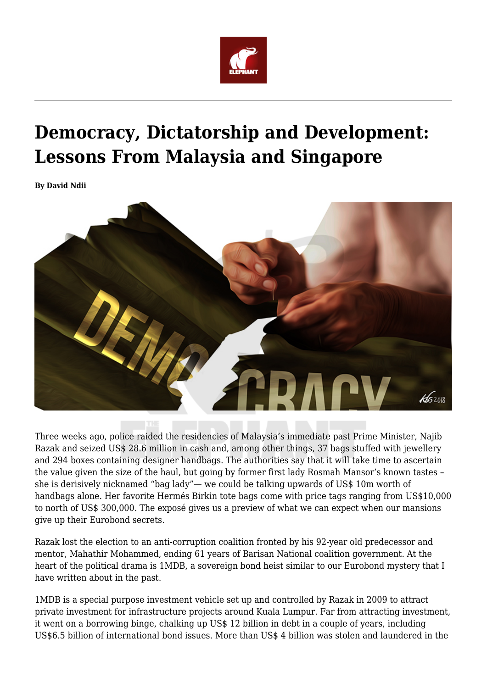

## **Democracy, Dictatorship and Development: Lessons From Malaysia and Singapore**

**By David Ndii**



Three weeks ago, police raided the residencies of Malaysia's immediate past Prime Minister, Najib Razak and seized US\$ 28.6 million in cash and, among other things, 37 bags stuffed with jewellery and 294 boxes containing designer handbags. The authorities say that it will take time to ascertain the value given the size of the haul, but going by former first lady Rosmah Mansor's known tastes – she is derisively nicknamed "bag lady"— we could be talking upwards of US\$ 10m worth of handbags alone. Her favorite Hermés Birkin tote bags come with price tags ranging from US\$10,000 to north of US\$ 300,000. The exposé gives us a preview of what we can expect when our mansions give up their Eurobond secrets.

Razak lost the election to an anti-corruption coalition fronted by his 92-year old predecessor and mentor, Mahathir Mohammed, ending 61 years of Barisan National coalition government. At the heart of the political drama is 1MDB, a sovereign bond heist similar to our Eurobond mystery that I have written about in the past.

1MDB is a special purpose investment vehicle set up and controlled by Razak in 2009 to attract private investment for infrastructure projects around Kuala Lumpur. Far from attracting investment, it went on a borrowing binge, chalking up US\$ 12 billion in debt in a couple of years, including US\$6.5 billion of international bond issues. More than US\$ 4 billion was stolen and laundered in the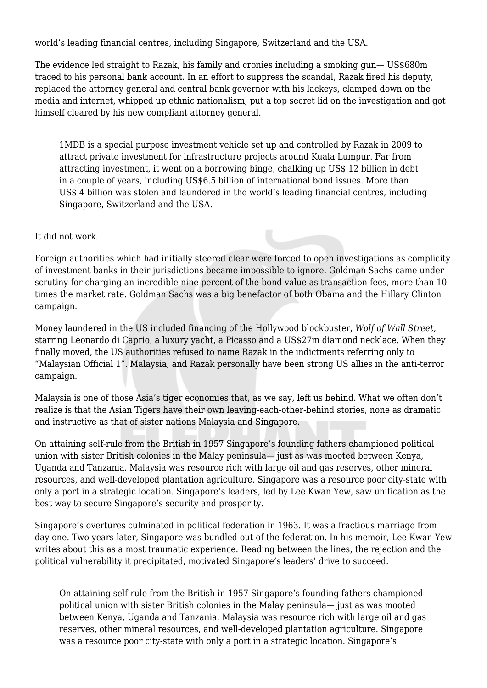world's leading financial centres, including Singapore, Switzerland and the USA.

The evidence led straight to Razak, his family and cronies including a smoking gun— US\$680m traced to his personal bank account. In an effort to suppress the scandal, Razak fired his deputy, replaced the attorney general and central bank governor with his lackeys, clamped down on the media and internet, whipped up ethnic nationalism, put a top secret lid on the investigation and got himself cleared by his new compliant attorney general.

1MDB is a special purpose investment vehicle set up and controlled by Razak in 2009 to attract private investment for infrastructure projects around Kuala Lumpur. Far from attracting investment, it went on a borrowing binge, chalking up US\$ 12 billion in debt in a couple of years, including US\$6.5 billion of international bond issues. More than US\$ 4 billion was stolen and laundered in the world's leading financial centres, including Singapore, Switzerland and the USA.

## It did not work.

Foreign authorities which had initially steered clear were forced to open investigations as complicity of investment banks in their jurisdictions became impossible to ignore. Goldman Sachs came under scrutiny for charging an incredible nine percent of the bond value as transaction fees, more than 10 times the market rate. Goldman Sachs was a big benefactor of both Obama and the Hillary Clinton campaign.

Money laundered in the US included financing of the Hollywood blockbuster, *Wolf of Wall Street,* starring Leonardo di Caprio, a luxury yacht, a Picasso and a US\$27m diamond necklace. When they finally moved, the US authorities refused to name Razak in the indictments referring only to "Malaysian Official 1". Malaysia, and Razak personally have been strong US allies in the anti-terror campaign.

Malaysia is one of those Asia's tiger economies that, as we say, left us behind. What we often don't realize is that the Asian Tigers have their own leaving-each-other-behind stories, none as dramatic and instructive as that of sister nations Malaysia and Singapore.

On attaining self-rule from the British in 1957 Singapore's founding fathers championed political union with sister British colonies in the Malay peninsula— just as was mooted between Kenya, Uganda and Tanzania. Malaysia was resource rich with large oil and gas reserves, other mineral resources, and well-developed plantation agriculture. Singapore was a resource poor city-state with only a port in a strategic location. Singapore's leaders, led by Lee Kwan Yew, saw unification as the best way to secure Singapore's security and prosperity.

Singapore's overtures culminated in political federation in 1963. It was a fractious marriage from day one. Two years later, Singapore was bundled out of the federation. In his memoir, Lee Kwan Yew writes about this as a most traumatic experience. Reading between the lines, the rejection and the political vulnerability it precipitated, motivated Singapore's leaders' drive to succeed.

On attaining self-rule from the British in 1957 Singapore's founding fathers championed political union with sister British colonies in the Malay peninsula— just as was mooted between Kenya, Uganda and Tanzania. Malaysia was resource rich with large oil and gas reserves, other mineral resources, and well-developed plantation agriculture. Singapore was a resource poor city-state with only a port in a strategic location. Singapore's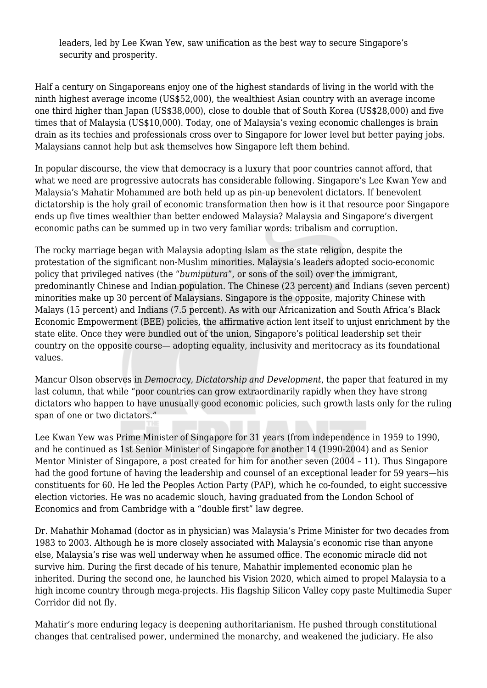leaders, led by Lee Kwan Yew, saw unification as the best way to secure Singapore's security and prosperity.

Half a century on Singaporeans enjoy one of the highest standards of living in the world with the ninth highest average income (US\$52,000), the wealthiest Asian country with an average income one third higher than Japan (US\$38,000), close to double that of South Korea (US\$28,000) and five times that of Malaysia (US\$10,000). Today, one of Malaysia's vexing economic challenges is brain drain as its techies and professionals cross over to Singapore for lower level but better paying jobs. Malaysians cannot help but ask themselves how Singapore left them behind.

In popular discourse, the view that democracy is a luxury that poor countries cannot afford, that what we need are progressive autocrats has considerable following. Singapore's Lee Kwan Yew and Malaysia's Mahatir Mohammed are both held up as pin-up benevolent dictators. If benevolent dictatorship is the holy grail of economic transformation then how is it that resource poor Singapore ends up five times wealthier than better endowed Malaysia? Malaysia and Singapore's divergent economic paths can be summed up in two very familiar words: tribalism and corruption.

The rocky marriage began with Malaysia adopting Islam as the state religion, despite the protestation of the significant non-Muslim minorities. Malaysia's leaders adopted socio-economic policy that privileged natives (the "*bumiputura*", or sons of the soil) over the immigrant, predominantly Chinese and Indian population. The Chinese (23 percent) and Indians (seven percent) minorities make up 30 percent of Malaysians. Singapore is the opposite, majority Chinese with Malays (15 percent) and Indians (7.5 percent). As with our Africanization and South Africa's Black Economic Empowerment (BEE) policies, the affirmative action lent itself to unjust enrichment by the state elite. Once they were bundled out of the union, Singapore's political leadership set their country on the opposite course— adopting equality, inclusivity and meritocracy as its foundational values.

Mancur Olson observes in *Democracy, Dictatorship and Development*, the paper that featured in my last column, that while "poor countries can grow extraordinarily rapidly when they have strong dictators who happen to have unusually good economic policies, such growth lasts only for the ruling span of one or two dictators."

Lee Kwan Yew was Prime Minister of Singapore for 31 years (from independence in 1959 to 1990, and he continued as 1st Senior Minister of Singapore for another 14 (1990-2004) and as Senior Mentor Minister of Singapore, a post created for him for another seven (2004 – 11). Thus Singapore had the good fortune of having the leadership and counsel of an exceptional leader for 59 years—his constituents for 60. He led the Peoples Action Party (PAP), which he co-founded, to eight successive election victories. He was no academic slouch, having graduated from the London School of Economics and from Cambridge with a "double first" law degree.

Dr. Mahathir Mohamad (doctor as in physician) was Malaysia's Prime Minister for two decades from 1983 to 2003. Although he is more closely associated with Malaysia's economic rise than anyone else, Malaysia's rise was well underway when he assumed office. The economic miracle did not survive him. During the first decade of his tenure, Mahathir implemented economic plan he inherited. During the second one, he launched his Vision 2020, which aimed to propel Malaysia to a high income country through mega-projects. His flagship Silicon Valley copy paste Multimedia Super Corridor did not fly.

Mahatir's more enduring legacy is deepening authoritarianism. He pushed through constitutional changes that centralised power, undermined the monarchy, and weakened the judiciary. He also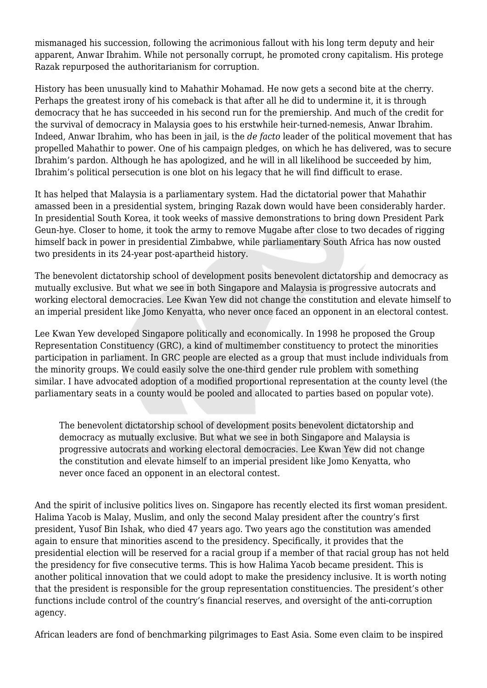mismanaged his succession, following the acrimonious fallout with his long term deputy and heir apparent, Anwar Ibrahim. While not personally corrupt, he promoted crony capitalism. His protege Razak repurposed the authoritarianism for corruption.

History has been unusually kind to Mahathir Mohamad. He now gets a second bite at the cherry. Perhaps the greatest irony of his comeback is that after all he did to undermine it, it is through democracy that he has succeeded in his second run for the premiership. And much of the credit for the survival of democracy in Malaysia goes to his erstwhile heir-turned-nemesis, Anwar Ibrahim. Indeed, Anwar Ibrahim, who has been in jail, is the *de facto* leader of the political movement that has propelled Mahathir to power. One of his campaign pledges, on which he has delivered, was to secure Ibrahim's pardon. Although he has apologized, and he will in all likelihood be succeeded by him, Ibrahim's political persecution is one blot on his legacy that he will find difficult to erase.

It has helped that Malaysia is a parliamentary system. Had the dictatorial power that Mahathir amassed been in a presidential system, bringing Razak down would have been considerably harder. In presidential South Korea, it took weeks of massive demonstrations to bring down President Park Geun-hye. Closer to home, it took the army to remove Mugabe after close to two decades of rigging himself back in power in presidential Zimbabwe, while parliamentary South Africa has now ousted two presidents in its 24-year post-apartheid history.

The benevolent dictatorship school of development posits benevolent dictatorship and democracy as mutually exclusive. But what we see in both Singapore and Malaysia is progressive autocrats and working electoral democracies. Lee Kwan Yew did not change the constitution and elevate himself to an imperial president like Jomo Kenyatta, who never once faced an opponent in an electoral contest.

Lee Kwan Yew developed Singapore politically and economically. In 1998 he proposed the Group Representation Constituency (GRC), a kind of multimember constituency to protect the minorities participation in parliament. In GRC people are elected as a group that must include individuals from the minority groups. We could easily solve the one-third gender rule problem with something similar. I have advocated adoption of a modified proportional representation at the county level (the parliamentary seats in a county would be pooled and allocated to parties based on popular vote).

The benevolent dictatorship school of development posits benevolent dictatorship and democracy as mutually exclusive. But what we see in both Singapore and Malaysia is progressive autocrats and working electoral democracies. Lee Kwan Yew did not change the constitution and elevate himself to an imperial president like Jomo Kenyatta, who never once faced an opponent in an electoral contest.

And the spirit of inclusive politics lives on. Singapore has recently elected its first woman president. Halima Yacob is Malay, Muslim, and only the second Malay president after the country's first president, Yusof Bin Ishak, who died 47 years ago. Two years ago the constitution was amended again to ensure that minorities ascend to the presidency. Specifically, it provides that the presidential election will be reserved for a racial group if a member of that racial group has not held the presidency for five consecutive terms. This is how Halima Yacob became president. This is another political innovation that we could adopt to make the presidency inclusive. It is worth noting that the president is responsible for the group representation constituencies. The president's other functions include control of the country's financial reserves, and oversight of the anti-corruption agency.

African leaders are fond of benchmarking pilgrimages to East Asia. Some even claim to be inspired